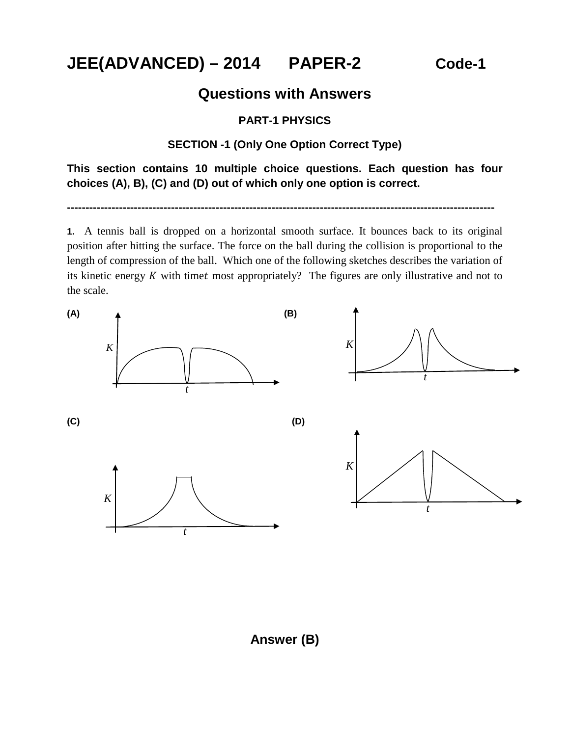**JEE(ADVANCED) – 2014 PAPER-2 Code-1**

# **Questions with Answers**

### **PART-1 PHYSICS**

### **SECTION -1 (Only One Option Correct Type)**

**This section contains 10 multiple choice questions. Each question has four choices (A), B), (C) and (D) out of which only one option is correct.**

**-------------------------------------------------------------------------------------------------------------------**

**1.** A tennis ball is dropped on a horizontal smooth surface. It bounces back to its original position after hitting the surface. The force on the ball during the collision is proportional to the length of compression of the ball. Which one of the following sketches describes the variation of its kinetic energy  $K$  with timet most appropriately? The figures are only illustrative and not to the scale.



**Answer (B)**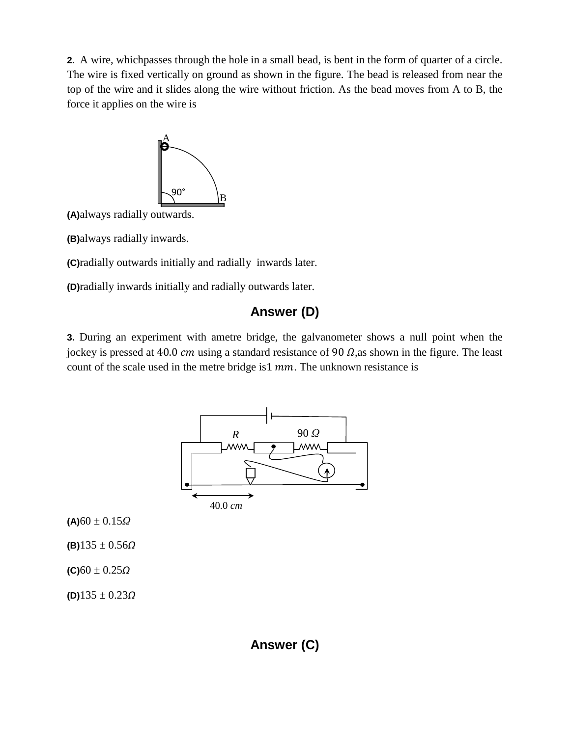**2.** A wire, whichpasses through the hole in a small bead, is bent in the form of quarter of a circle. The wire is fixed vertically on ground as shown in the figure. The bead is released from near the top of the wire and it slides along the wire without friction. As the bead moves from A to B, the force it applies on the wire is



**(A)**always radially outwards.

**(B)**always radially inwards.

**(C)**radially outwards initially and radially inwards later.

**(D)**radially inwards initially and radially outwards later.

### **Answer (D)**

**3.** During an experiment with ametre bridge, the galvanometer shows a null point when the jockey is pressed at 40.0  $cm$  using a standard resistance of 90  $\Omega$ , as shown in the figure. The least count of the scale used in the metre bridge is  $1 \, mm$ . The unknown resistance is

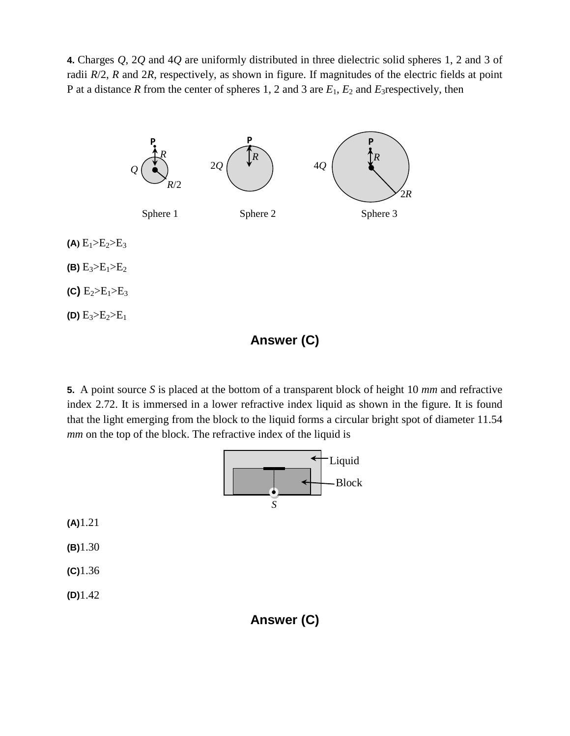**4.** Charges *Q*, 2*Q* and 4*Q* are uniformly distributed in three dielectric solid spheres 1, 2 and 3 of radii *R*/2, *R* and 2*R*, respectively, as shown in figure. If magnitudes of the electric fields at point P at a distance *R* from the center of spheres 1, 2 and 3 are *E*1, *E*<sup>2</sup> and *E*3respectively, then



**Answer (C)**

**5.** A point source *S* is placed at the bottom of a transparent block of height 10 *mm* and refractive index 2.72. It is immersed in a lower refractive index liquid as shown in the figure. It is found that the light emerging from the block to the liquid forms a circular bright spot of diameter 11.54 *mm* on the top of the block. The refractive index of the liquid is



**(A)**1.21

**(B)**1.30

**(C)**1.36

**(D)**1.42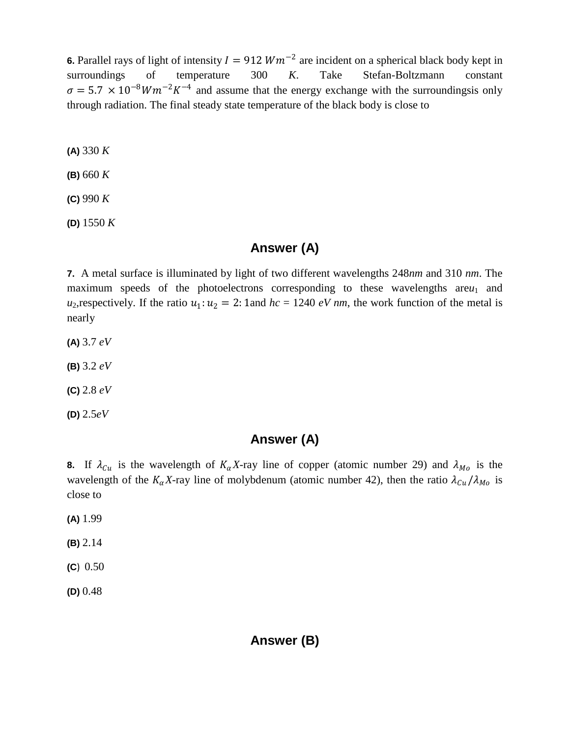**6.** Parallel rays of light of intensity  $I = 912$   $Wm^{-2}$  are incident on a spherical black body kept in surroundings of temperature 300 K. Take Stefan-Boltzmann constant surroundings of temperature 300 *K*. Take Stefan-Boltzmann constant  $\sigma = 5.7 \times 10^{-8} W m^{-2} K^{-4}$  and assume that the energy exchange with the surroundingsis only through radiation. The final steady state temperature of the black body is close to

**(A)** 330 *K*

**(B)** 660 *K*

**(C)** 990 *K*

**(D)** 1550 *K*

# **Answer (A)**

**7.** A metal surface is illuminated by light of two different wavelengths 248*nm* and 310 *nm*. The maximum speeds of the photoelectrons corresponding to these wavelengths  $\text{area}_1$  and *u*<sub>2</sub>, respectively. If the ratio  $u_1: u_2 = 2: 1$  and  $hc = 1240$  *eV nm*, the work function of the metal is nearly

**(A)** 3.7 *eV*

**(B)** 3.2 *eV*

**(C)** 2.8 *eV*

**(D)** 2.5*eV*

# **Answer (A)**

**8.** If  $\lambda_{Cu}$  is the wavelength of  $K_{\alpha}X$ -ray line of copper (atomic number 29) and  $\lambda_{Mo}$  is the wavelength of the  $K_{\alpha}X$ -ray line of molybdenum (atomic number 42), then the ratio  $\lambda_{Cu}/\lambda_{Mo}$  is close to

**(A)** 1.99

**(B)** 2.14

**(C**) 0.50

**(D)** 0.48

### **Answer (B)**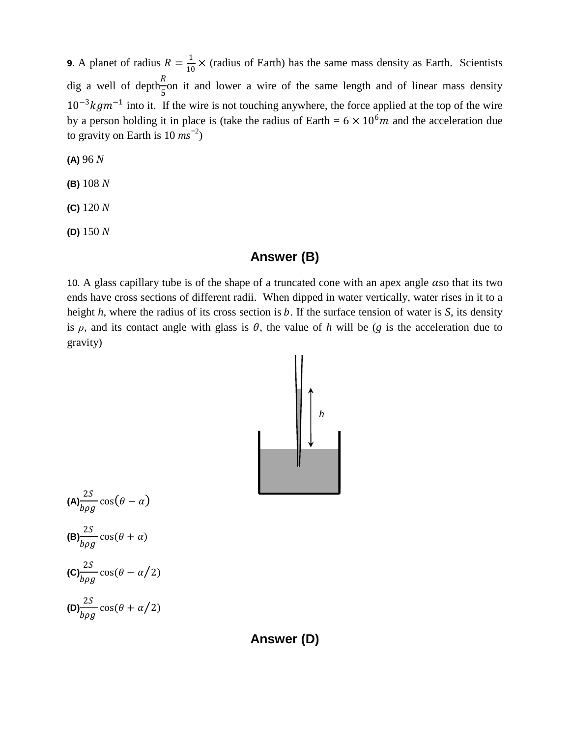**9.** A planet of radius  $R = \frac{1}{10} \times$  (radius of Earth) has the same mass density as Earth. Scientists dig a well of depth $\frac{R}{r}$ 5 on it and lower a wire of the same length and of linear mass density  $10^{-3}kgm^{-1}$  into it. If the wire is not touching anywhere, the force applied at the top of the wire by a person holding it in place is (take the radius of Earth =  $6 \times 10^6 m$  and the acceleration due to gravity on Earth is 10 *ms ̶*<sup>2</sup> )

**(A)** 96 *N*

**(B)** 108 *N*

**(C)** 120 *N*

**(D)** 150 *N*

### **Answer (B)**

10. A glass capillary tube is of the shape of a truncated cone with an apex angle  $\alpha$ so that its two ends have cross sections of different radii. When dipped in water vertically, water rises in it to a height  $h$ , where the radius of its cross section is  $b$ . If the surface tension of water is  $S$ , its density is  $\rho$ , and its contact angle with glass is  $\theta$ , the value of *h* will be (*g* is the acceleration due to gravity)



$$
(A) \frac{2S}{b\rho g} \cos(\theta - \alpha)
$$
  
\n
$$
(B) \frac{2S}{b\rho g} \cos(\theta + \alpha)
$$
  
\n
$$
(C) \frac{2S}{b\rho g} \cos(\theta - \alpha/2)
$$
  
\n
$$
(D) \frac{2S}{b\rho g} \cos(\theta + \alpha/2)
$$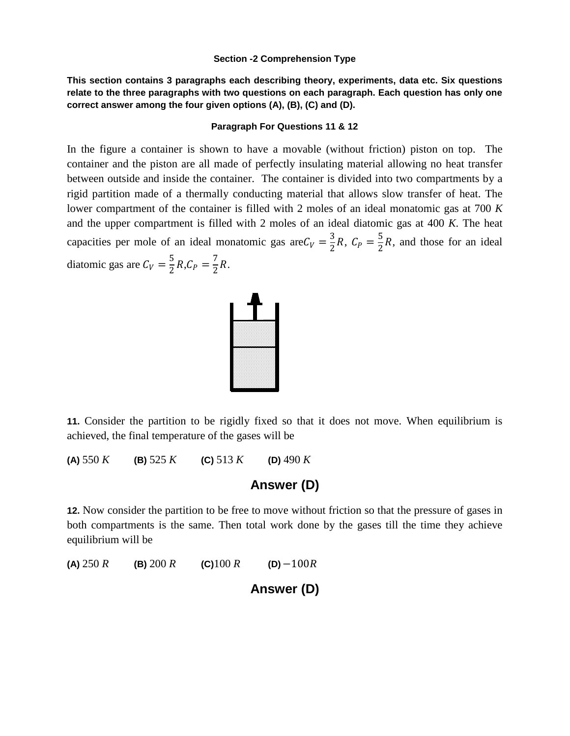#### **Section -2 Comprehension Type**

**This section contains 3 paragraphs each describing theory, experiments, data etc. Six questions relate to the three paragraphs with two questions on each paragraph. Each question has only one correct answer among the four given options (A), (B), (C) and (D).** 

#### **Paragraph For Questions 11 & 12**

In the figure a container is shown to have a movable (without friction) piston on top. The container and the piston are all made of perfectly insulating material allowing no heat transfer between outside and inside the container. The container is divided into two compartments by a rigid partition made of a thermally conducting material that allows slow transfer of heat. The lower compartment of the container is filled with 2 moles of an ideal monatomic gas at 700 *K* and the upper compartment is filled with 2 moles of an ideal diatomic gas at 400 *K*. The heat capacities per mole of an ideal monatomic gas are  $C_V = \frac{3}{2}R$ ,  $C_P = \frac{5}{2}R$ , and those for an ideal diatomic gas are  $C_V = \frac{5}{2}R$ ,  $C_P = \frac{7}{2}R$ .



**11.** Consider the partition to be rigidly fixed so that it does not move. When equilibrium is achieved, the final temperature of the gases will be

**(A)** 550 *K* **(B)** 525 *K* **(C)** 513 *K* **(D)** 490 *K*

**Answer (D)**

**12.** Now consider the partition to be free to move without friction so that the pressure of gases in both compartments is the same. Then total work done by the gases till the time they achieve equilibrium will be

**(A)** 250 *R* **(B)** 200 *R* **(C)**100 *R* **(D)** −100*R*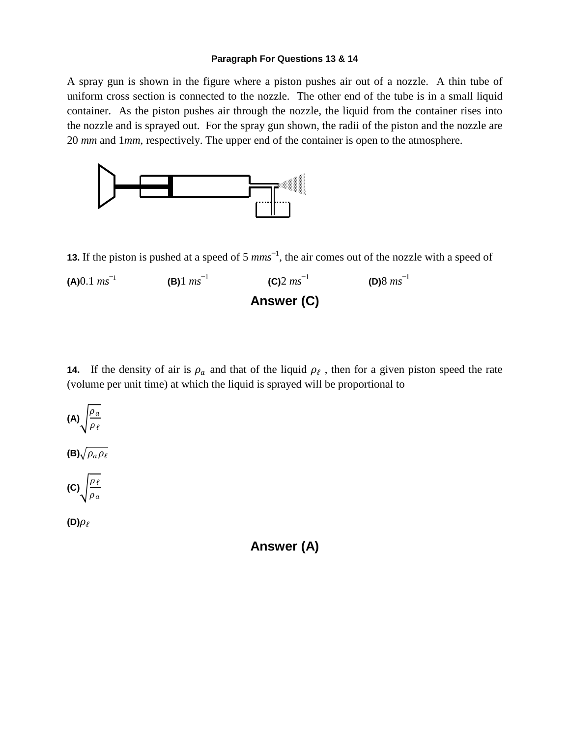#### **Paragraph For Questions 13 & 14**

A spray gun is shown in the figure where a piston pushes air out of a nozzle. A thin tube of uniform cross section is connected to the nozzle. The other end of the tube is in a small liquid container. As the piston pushes air through the nozzle, the liquid from the container rises into the nozzle and is sprayed out. For the spray gun shown, the radii of the piston and the nozzle are 20 *mm* and 1*mm*, respectively. The upper end of the container is open to the atmosphere.



**13.** If the piston is pushed at a speed of 5  $mms^{-1}$ , the air comes out of the nozzle with a speed of



**14.** If the density of air is  $\rho_a$  and that of the liquid  $\rho_f$ , then for a given piston speed the rate (volume per unit time) at which the liquid is sprayed will be proportional to



 $(D)\rho_{\ell}$ 

**Answer (A)**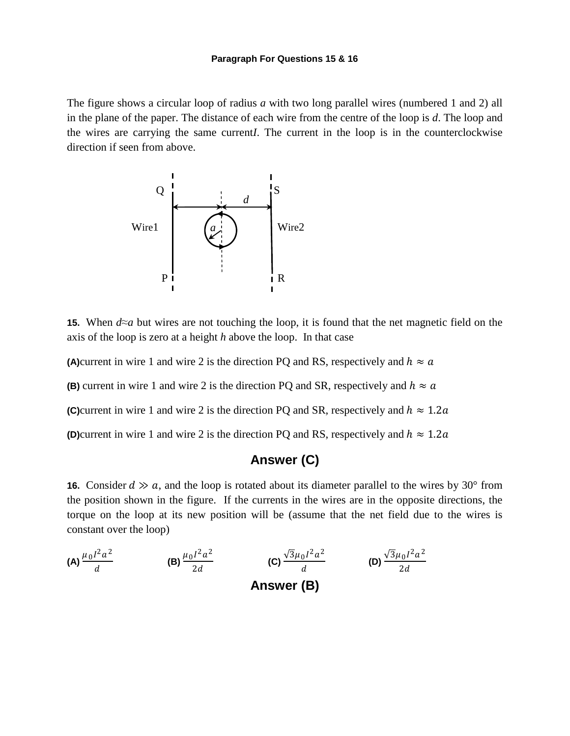The figure shows a circular loop of radius *a* with two long parallel wires (numbered 1 and 2) all in the plane of the paper. The distance of each wire from the centre of the loop is *d*. The loop and the wires are carrying the same current*I*. The current in the loop is in the counterclockwise direction if seen from above.



**15.** When *d*≈*a* but wires are not touching the loop, it is found that the net magnetic field on the axis of the loop is zero at a height *h* above the loop. In that case

**(A)**current in wire 1 and wire 2 is the direction PQ and RS, respectively and  $h \approx a$ 

**(B)** current in wire 1 and wire 2 is the direction PQ and SR, respectively and  $h \approx a$ 

**(C)**current in wire 1 and wire 2 is the direction PQ and SR, respectively and  $h \approx 1.2a$ 

**(D)**current in wire 1 and wire 2 is the direction PQ and RS, respectively and  $h \approx 1.2a$ 

### **Answer (C)**

**16.** Consider  $d \gg a$ , and the loop is rotated about its diameter parallel to the wires by 30° from the position shown in the figure. If the currents in the wires are in the opposite directions, the torque on the loop at its new position will be (assume that the net field due to the wires is constant over the loop)

(A) 
$$
\frac{\mu_0 I^2 a^2}{d}
$$
 (B)  $\frac{\mu_0 I^2 a^2}{2d}$  (C)  $\frac{\sqrt{3}\mu_0 I^2 a^2}{d}$  (D)  $\frac{\sqrt{3}\mu_0 I^2 a^2}{2d}$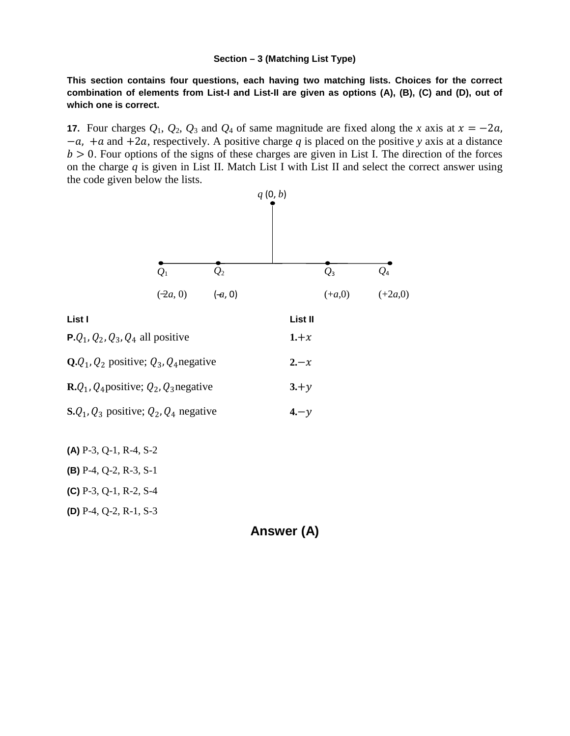#### **Section – 3 (Matching List Type)**

**This section contains four questions, each having two matching lists. Choices for the correct combination of elements from List-I and List-II are given as options (A), (B), (C) and (D), out of which one is correct.**

**17.** Four charges  $Q_1$ ,  $Q_2$ ,  $Q_3$  and  $Q_4$  of same magnitude are fixed along the *x* axis at  $x = -2a$ , −a, +a and +2a, respectively. A positive charge q is placed on the positive *y* axis at a distance  $b > 0$ . Four options of the signs of these charges are given in List I. The direction of the forces on the charge *q* is given in List II. Match List I with List II and select the correct answer using the code given below the lists.



**(B)** P-4, Q-2, R-3, S-1

**(C)** P-3, Q-1, R-2, S-4

**(D)** P-4, Q-2, R-1, S-3

**Answer (A)**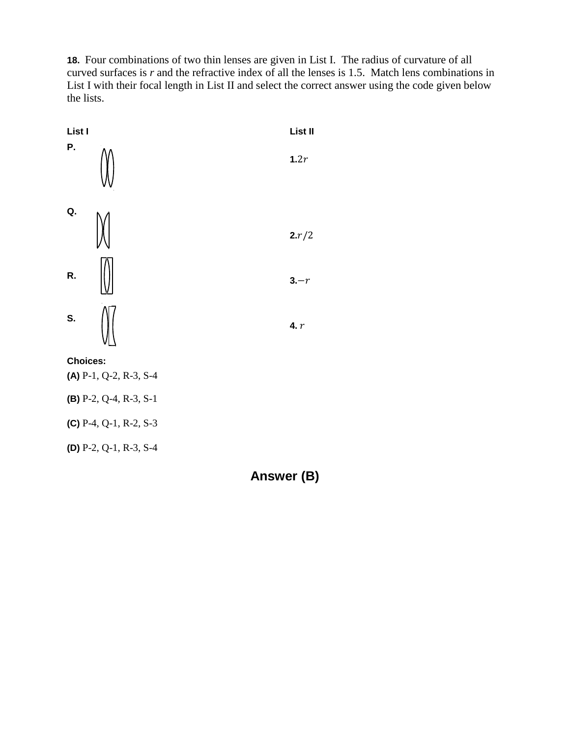**18.** Four combinations of two thin lenses are given in List I. The radius of curvature of all curved surfaces is *r* and the refractive index of all the lenses is 1.5. Match lens combinations in List I with their focal length in List II and select the correct answer using the code given below the lists.

| List I                            | List II |
|-----------------------------------|---------|
| Ρ.                                | 1.2r    |
| Q.                                | 2.r/2   |
| R.                                | $3-r$   |
| S.                                | 4. $r$  |
| <b>Choices:</b>                   |         |
| (A) $P-1$ , Q-2, R-3, S-4         |         |
| (B) $P-2$ , $Q-4$ , $R-3$ , $S-1$ |         |
| (C) $P-4$ , $Q-1$ , $R-2$ , $S-3$ |         |
| (D) $P-2$ , $Q-1$ , $R-3$ , $S-4$ |         |

**Answer (B)**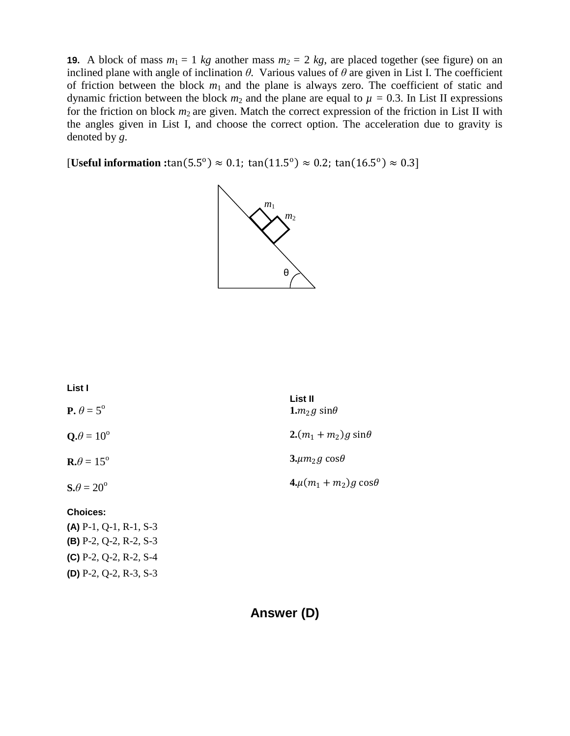**19.** A block of mass  $m_1 = 1$  *kg* another mass  $m_2 = 2$  *kg*, are placed together (see figure) on an inclined plane with angle of inclination  $\theta$ . Various values of  $\theta$  are given in List I. The coefficient of friction between the block  $m_1$  and the plane is always zero. The coefficient of static and dynamic friction between the block  $m_2$  and the plane are equal to  $\mu = 0.3$ . In List II expressions for the friction on block  $m_2$  are given. Match the correct expression of the friction in List II with the angles given in List I, and choose the correct option. The acceleration due to gravity is denoted by *g*.

**[Useful information :**tan(5.5<sup>o</sup>)  $\approx$  0.1; tan(11.5<sup>o</sup>)  $\approx$  0.2; tan(16.5<sup>o</sup>)  $\approx$  0.3]



| List I                           |                                    |
|----------------------------------|------------------------------------|
| <b>P.</b> $\theta = 5^{\circ}$   | List II<br>1. $m_2$ g sin $\theta$ |
| $\mathbf{Q}.\theta = 10^{\circ}$ | $2(m_1 + m_2)g \sin\theta$         |
| $\mathbf{R}.\theta = 15^{\circ}$ | $3. \mu m_2 g \cos\theta$          |
| $S.\theta = 20^{\circ}$          | $4.\mu(m_1 + m_2)g\cos\theta$      |
| <b>Choices:</b>                  |                                    |

**(A)** P-1, Q-1, R-1, S-3 **(B)** P-2, Q-2, R-2, S-3 **(C)** P-2, Q-2, R-2, S-4 **(D)** P-2, Q-2, R-3, S-3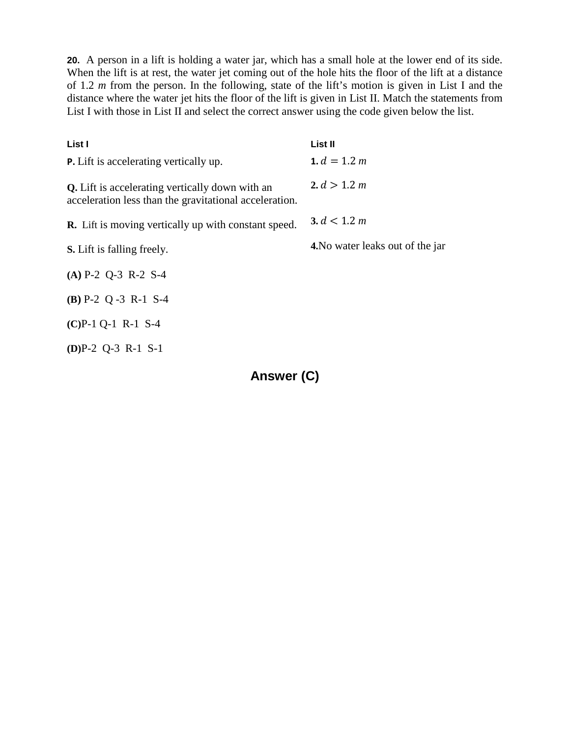**20.** A person in a lift is holding a water jar, which has a small hole at the lower end of its side. When the lift is at rest, the water jet coming out of the hole hits the floor of the lift at a distance of 1.2 *m* from the person. In the following, state of the lift's motion is given in List I and the distance where the water jet hits the floor of the lift is given in List II. Match the statements from List I with those in List II and select the correct answer using the code given below the list.

| List I                                                                                                           | List II                          |
|------------------------------------------------------------------------------------------------------------------|----------------------------------|
| <b>P.</b> Lift is accelerating vertically up.                                                                    | 1. $d = 1.2 m$                   |
| <b>Q.</b> Lift is accelerating vertically down with an<br>acceleration less than the gravitational acceleration. | 2. $d > 1.2 m$                   |
| <b>R.</b> Lift is moving vertically up with constant speed.                                                      | 3. $d < 1.2 m$                   |
| <b>S.</b> Lift is falling freely.                                                                                | 4. No water leaks out of the jar |
| $(A)$ P-2 Q-3 R-2 S-4                                                                                            |                                  |
| $(B)$ P-2 Q -3 R-1 S-4                                                                                           |                                  |
| $(C)P-1Q-1R-1S-4$                                                                                                |                                  |
| $(D)P-2Q-3R-1S-1$                                                                                                |                                  |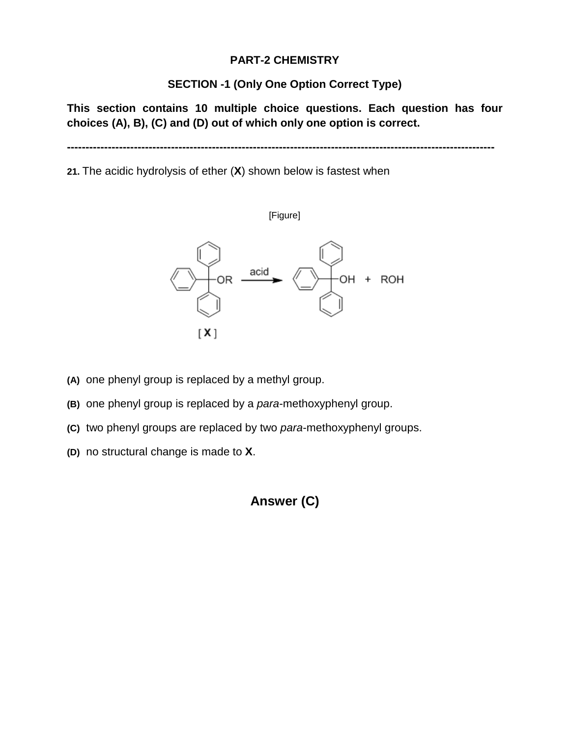### **PART-2 CHEMISTRY**

### **SECTION -1 (Only One Option Correct Type)**

**This section contains 10 multiple choice questions. Each question has four choices (A), B), (C) and (D) out of which only one option is correct.**

**-------------------------------------------------------------------------------------------------------------------**

**21.** The acidic hydrolysis of ether (**X**) shown below is fastest when



- **(A)** one phenyl group is replaced by a methyl group.
- **(B)** one phenyl group is replaced by a *para*-methoxyphenyl group.
- **(C)** two phenyl groups are replaced by two *para*-methoxyphenyl groups.
- **(D)** no structural change is made to **X**.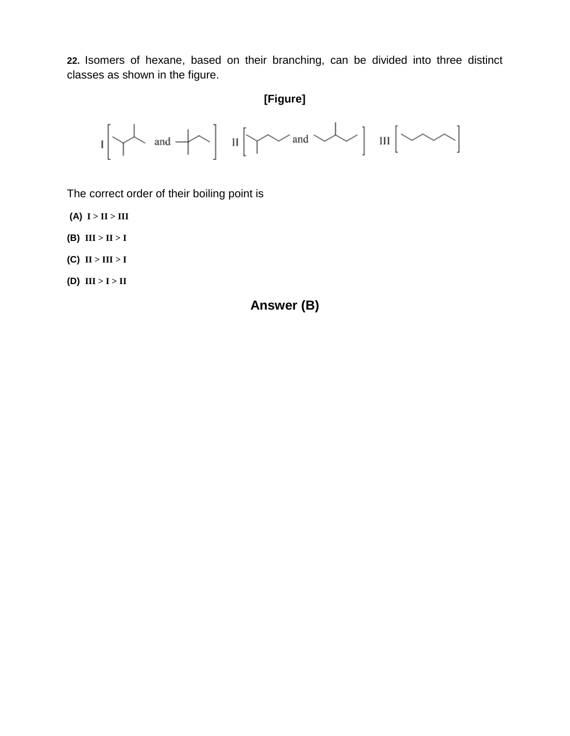**22.** Isomers of hexane, based on their branching, can be divided into three distinct classes as shown in the figure.

# **[Figure]**



The correct order of their boiling point is

- **(A) I > II > III**
- **(B) III > II > I**
- **(C) II > III > I**
- $(I)$   $III > I > II$

## **Answer (B)**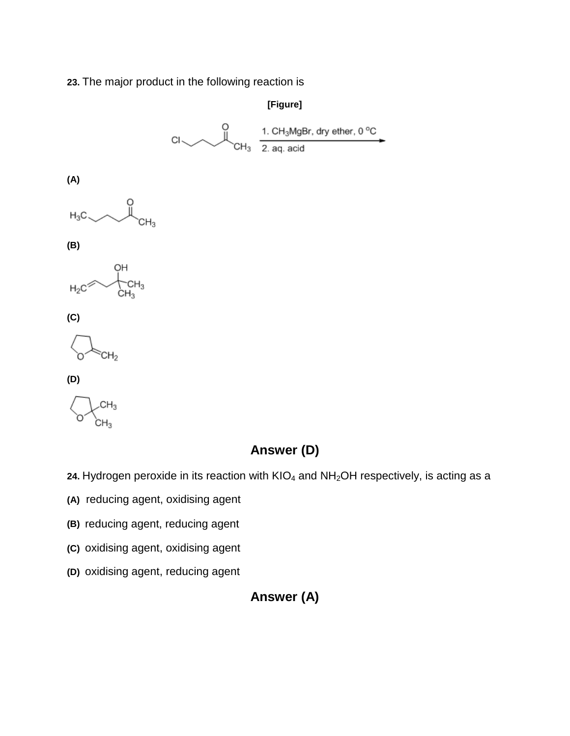### **23.** The major product in the following reaction is



- **(B)** reducing agent, reducing agent
- **(C)** oxidising agent, oxidising agent
- **(D)** oxidising agent, reducing agent

# **Answer (A)**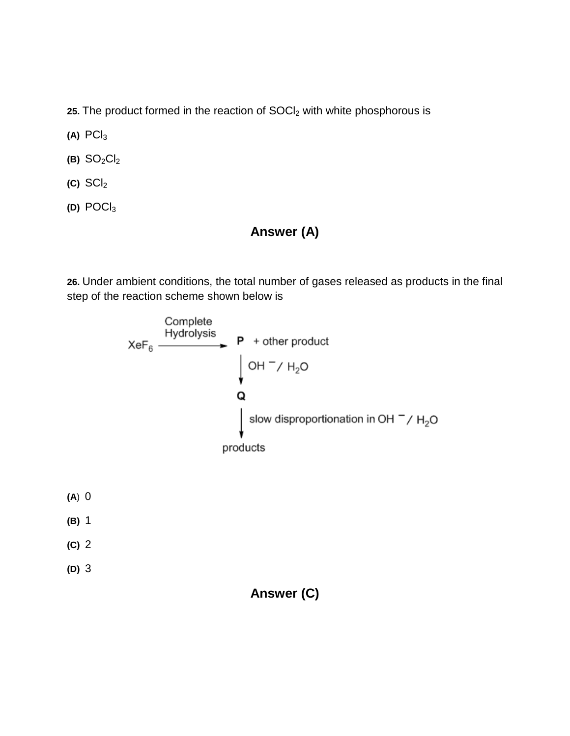25. The product formed in the reaction of SOCI<sub>2</sub> with white phosphorous is

- **(A)** PCl3
- $(B)$  SO<sub>2</sub>Cl<sub>2</sub>
- $(C)$  SCI<sub>2</sub>
- **(D)** POCl3

# **Answer (A)**

**26.** Under ambient conditions, the total number of gases released as products in the final step of the reaction scheme shown below is

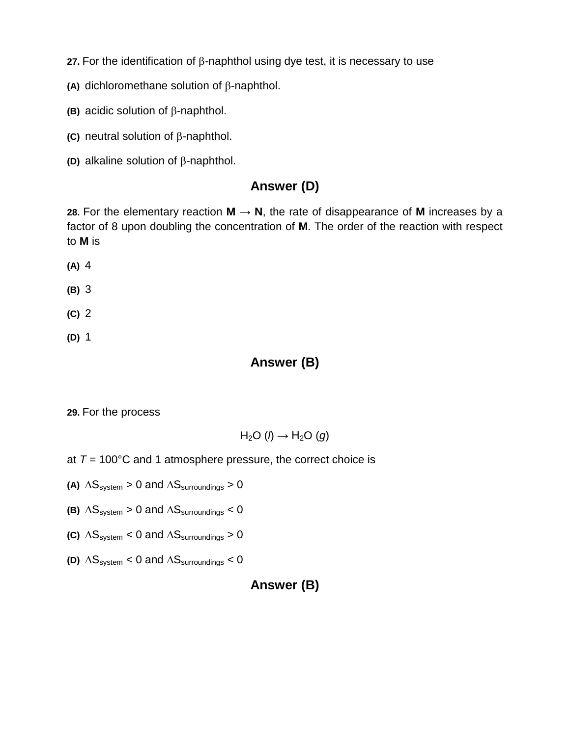**27.** For the identification of β-naphthol using dye test, it is necessary to use

- **(A)** dichloromethane solution of β-naphthol.
- **(B)** acidic solution of β-naphthol.
- **(C)** neutral solution of β-naphthol.
- **(D)** alkaline solution of β-naphthol.

# **Answer (D)**

**28.** For the elementary reaction  $M \rightarrow N$ , the rate of disappearance of M increases by a factor of 8 upon doubling the concentration of **M**. The order of the reaction with respect to **M** is

- **(A)** 4
- **(B)** 3
- **(C)** 2
- **(D)** 1

### **Answer (B)**

**29.** For the process

$$
H_2O\;(\textit{I})\rightarrow H_2O\;(g)
$$

- at  $T = 100^{\circ}$ C and 1 atmosphere pressure, the correct choice is
- **(A)**  $\Delta S_{system}$  > 0 and  $\Delta S_{surroundings}$  > 0
- **(B)**  $\Delta S_{system} > 0$  and  $\Delta S_{surroundings} < 0$
- **(C)**  $\Delta S_{system} < 0$  and  $\Delta S_{surroundings} > 0$
- **(D)** ∆Ssystem < 0 and ∆Ssurroundings < 0

## **Answer (B)**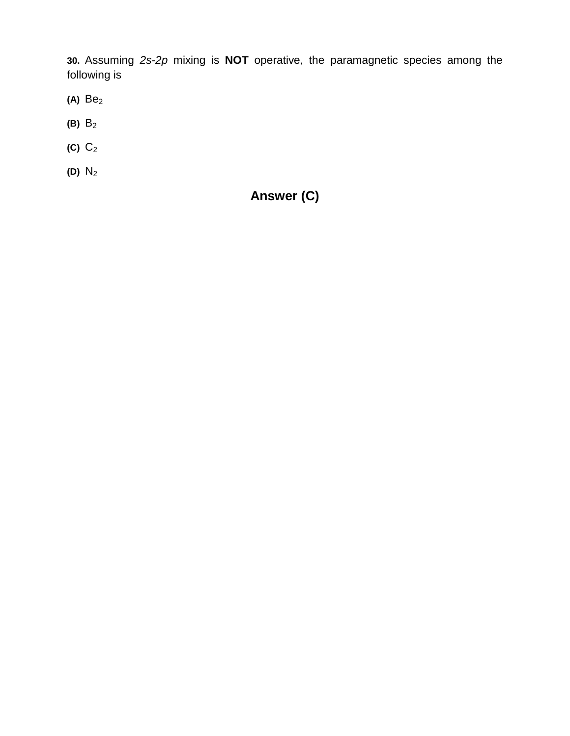**30.** Assuming *2s*-*2p* mixing is **NOT** operative, the paramagnetic species among the following is

- **(A)** Be2
- **(B)** B2
- **(C)** C2
- **(D)** N2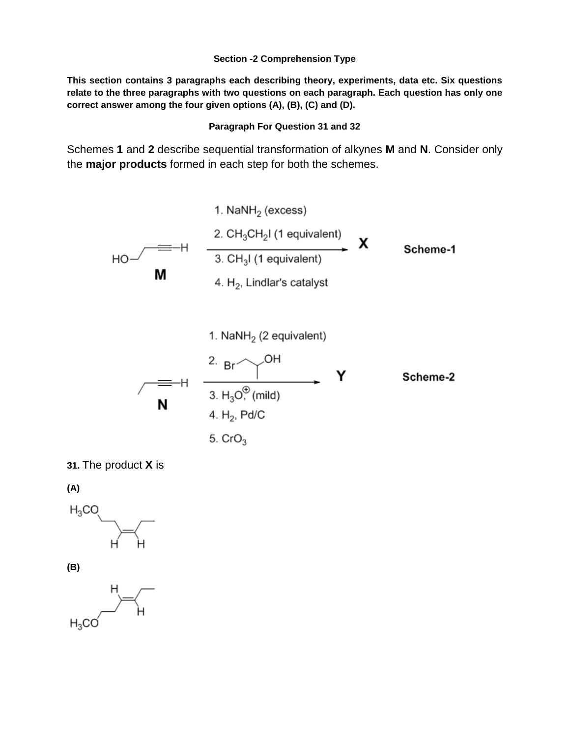#### **Section -2 Comprehension Type**

**This section contains 3 paragraphs each describing theory, experiments, data etc. Six questions relate to the three paragraphs with two questions on each paragraph. Each question has only one correct answer among the four given options (A), (B), (C) and (D).** 

#### **Paragraph For Question 31 and 32**

Schemes **1** and **2** describe sequential transformation of alkynes **M** and **N**. Consider only the **major products** formed in each step for both the schemes.



**31.** The product **X** is

**(A)** 



**(B)**

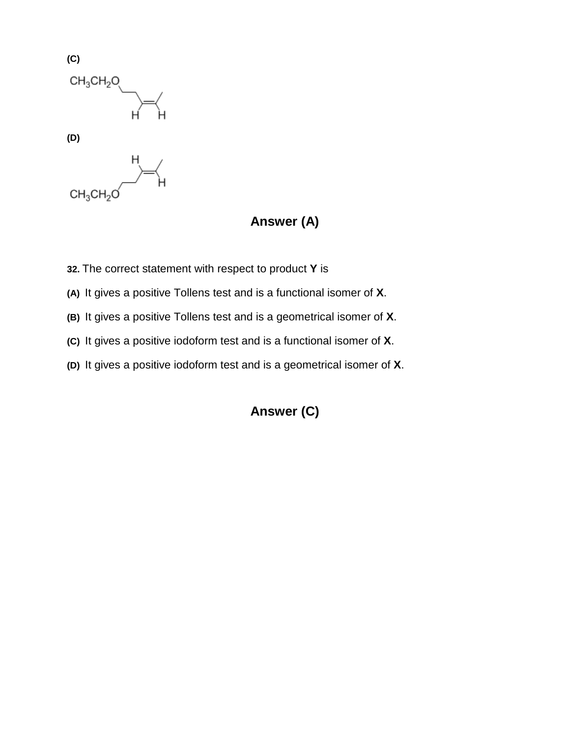

# **Answer (A)**

- **32.** The correct statement with respect to product **Y** is
- **(A)** It gives a positive Tollens test and is a functional isomer of **X**.
- **(B)** It gives a positive Tollens test and is a geometrical isomer of **X**.
- **(C)** It gives a positive iodoform test and is a functional isomer of **X**.
- **(D)** It gives a positive iodoform test and is a geometrical isomer of **X**.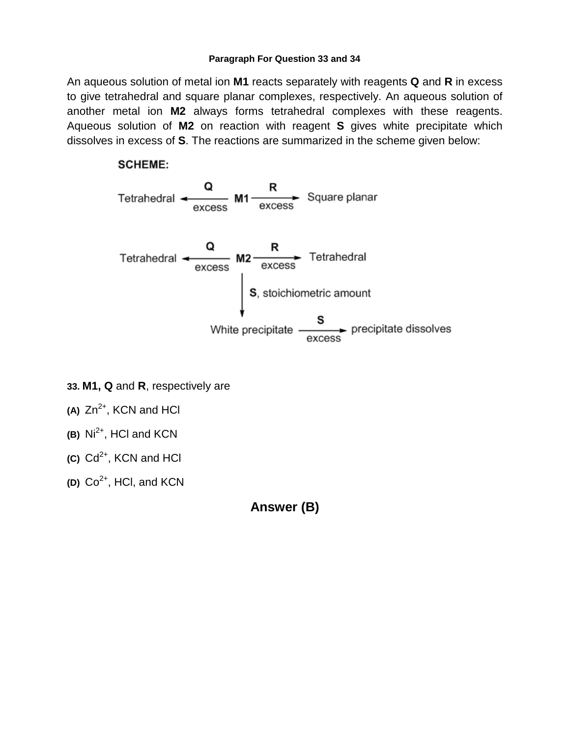#### **Paragraph For Question 33 and 34**

An aqueous solution of metal ion **M1** reacts separately with reagents **Q** and **R** in excess to give tetrahedral and square planar complexes, respectively. An aqueous solution of another metal ion **M2** always forms tetrahedral complexes with these reagents. Aqueous solution of **M2** on reaction with reagent **S** gives white precipitate which dissolves in excess of **S**. The reactions are summarized in the scheme given below:

### **SCHEME:**



- **33. M1, Q** and **R**, respectively are
- **(A)** Zn2+, KCN and HCl
- **(B)** Ni2+, HCl and KCN
- **(C)** Cd2+, KCN and HCl
- **(D)** Co2+, HCl, and KCN

**Answer (B)**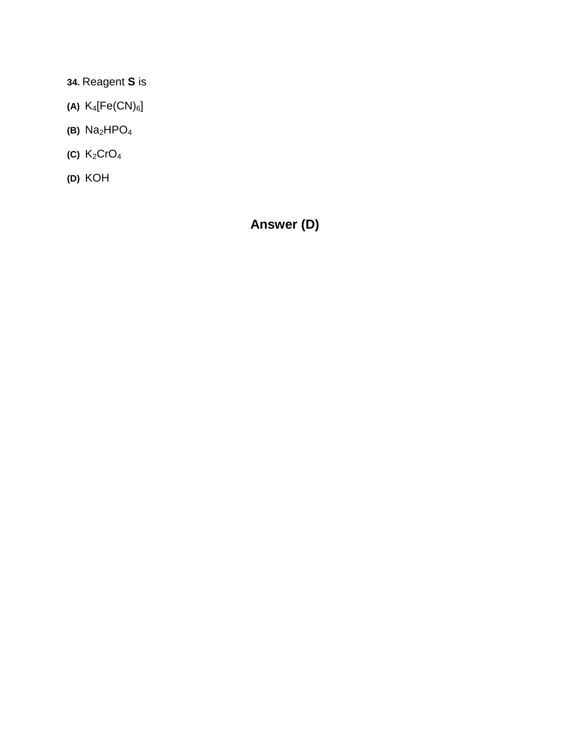**34.** Reagent **S** is

- **(A)**  $K_4[Fe(CN)_6]$
- **(B)** Na2HPO4
- **(C)** K2CrO4
- **(D)** KOH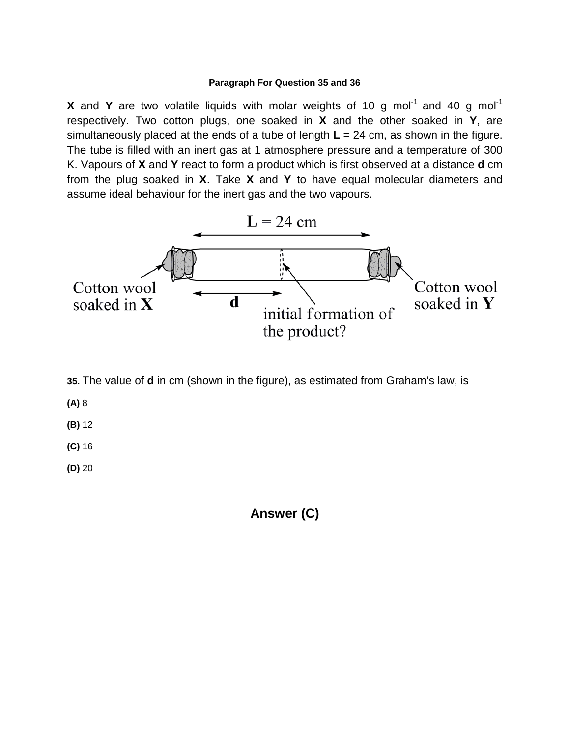#### **Paragraph For Question 35 and 36**

**X** and **Y** are two volatile liquids with molar weights of 10 g mol<sup>-1</sup> and 40 g mol<sup>-1</sup> respectively. Two cotton plugs, one soaked in **X** and the other soaked in **Y**, are simultaneously placed at the ends of a tube of length **L** = 24 cm, as shown in the figure. The tube is filled with an inert gas at 1 atmosphere pressure and a temperature of 300 K. Vapours of **X** and **Y** react to form a product which is first observed at a distance **d** cm from the plug soaked in **X**. Take **X** and **Y** to have equal molecular diameters and assume ideal behaviour for the inert gas and the two vapours.



- **35.** The value of **d** in cm (shown in the figure), as estimated from Graham's law, is
- **(A)** 8
- **(B)** 12
- **(C)** 16
- **(D)** 20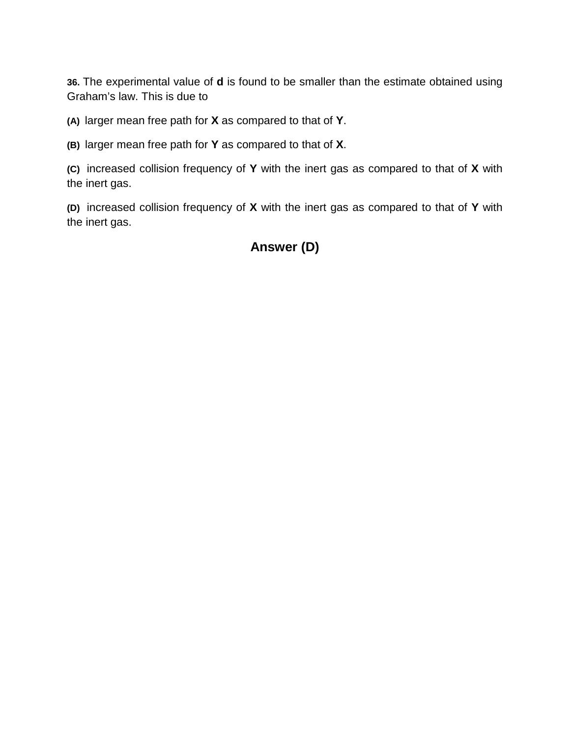**36.** The experimental value of **d** is found to be smaller than the estimate obtained using Graham's law. This is due to

**(A)** larger mean free path for **X** as compared to that of **Y**.

**(B)** larger mean free path for **Y** as compared to that of **X**.

**(C)** increased collision frequency of **Y** with the inert gas as compared to that of **X** with the inert gas.

**(D)** increased collision frequency of **X** with the inert gas as compared to that of **Y** with the inert gas.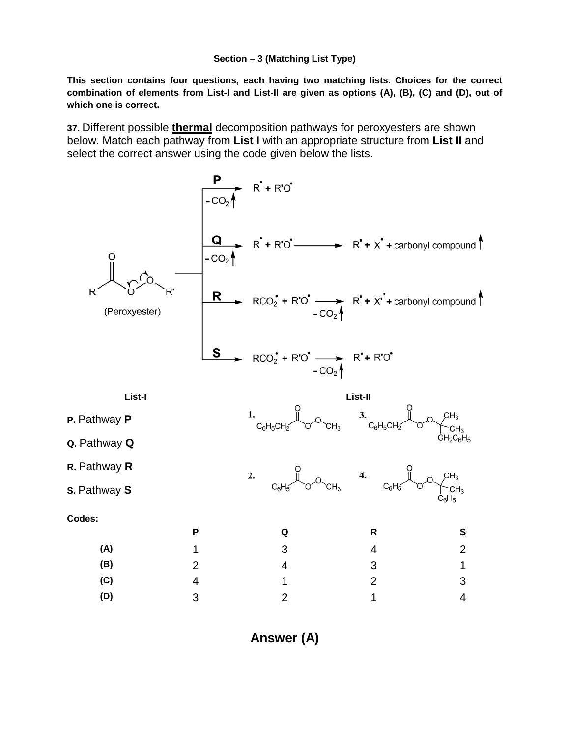#### **Section – 3 (Matching List Type)**

**This section contains four questions, each having two matching lists. Choices for the correct combination of elements from List-I and List-II are given as options (A), (B), (C) and (D), out of which one is correct.** 

**37.** Different possible **thermal** decomposition pathways for peroxyesters are shown below. Match each pathway from **List I** with an appropriate structure from **List II** and select the correct answer using the code given below the lists.



**Answer (A)**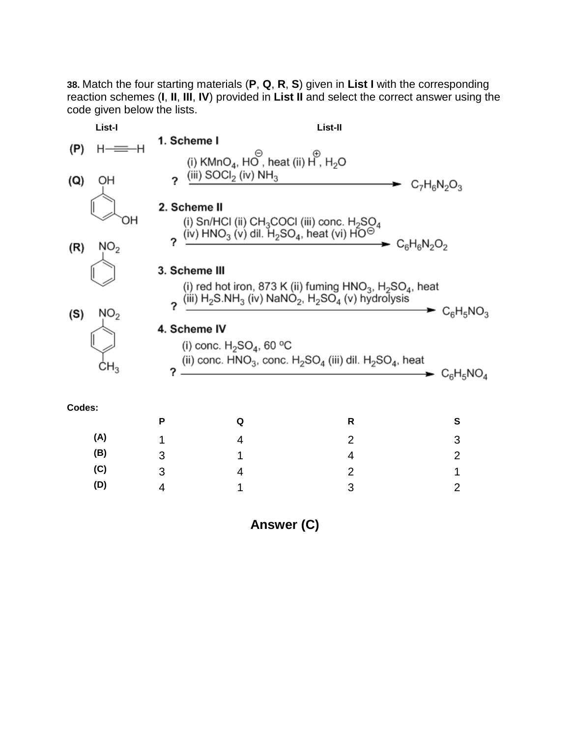**38.** Match the four starting materials (**P**, **Q**, **R**, **S**) given in **List I** with the corresponding reaction schemes (**I**, **II**, **III**, **IV**) provided in **List II** and select the correct answer using the code given below the lists.

|        | List-I          |                   | List-II                                                                                                                                       |                     |                |
|--------|-----------------|-------------------|-----------------------------------------------------------------------------------------------------------------------------------------------|---------------------|----------------|
| (P)    | н               | 1. Scheme I       |                                                                                                                                               |                     |                |
| (Q)    | OН              | ?                 | (i) KMnO <sub>4</sub> , HO, heat (ii) H, H <sub>2</sub> O<br>(iii) $S OCl2$ (iv) $NH3$                                                        | $C_7H_6N_2O_3$      |                |
|        | ΟH              | 2. Scheme II      | (i) Sn/HCl (ii) $CH_3COCl$ (iii) conc. $H_2SO_4$<br>(iv) HNO <sub>3</sub> (v) dil. H <sub>2</sub> SO <sub>4</sub> , heat (vi) HO <sup>O</sup> |                     |                |
| (R)    | NO <sub>2</sub> |                   |                                                                                                                                               | $\sim C_6H_6N_2O_2$ |                |
|        |                 | 3. Scheme III     | (i) red hot iron, 873 K (ii) fuming $HNO3$ , H <sub>2</sub> SO <sub>4</sub> , heat                                                            |                     |                |
|        | NO <sub>2</sub> | 2                 | (iii) $H_2$ S.N $H_3$ (iv) NaNO <sub>2</sub> , $H_2$ SO <sub>4</sub> (v) hydrolysis                                                           |                     | $C_6H_5NO_3$   |
| (S)    | $\mathsf{CH}_3$ | 4. Scheme IV<br>? | (i) conc. $H_2SO_4$ , 60 °C<br>(ii) conc. $HNO_3$ , conc. $H_2SO_4$ (iii) dil. $H_2SO_4$ , heat                                               |                     | $C_6H_5NO_4$   |
| Codes: |                 | P                 | Q                                                                                                                                             | R                   | S              |
|        | (A)             | 1                 | 4                                                                                                                                             | 2                   | 3              |
|        | (B)             | 3                 | 1                                                                                                                                             | 4                   | $\overline{2}$ |
|        | (C)             | 3                 | 4                                                                                                                                             | $\overline{2}$      | 1              |
|        | (D)             | 4                 | 1                                                                                                                                             | 3                   | $\overline{2}$ |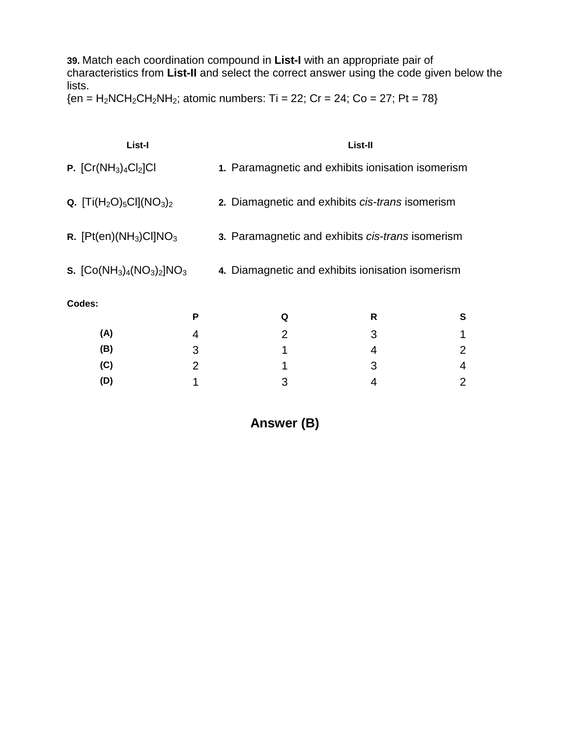**39.** Match each coordination compound in **List-I** with an appropriate pair of characteristics from **List-II** and select the correct answer using the code given below the lists.

 ${en = H<sub>2</sub>NCH<sub>2</sub>CH<sub>2</sub>NH<sub>2</sub>; atomic numbers: Ti = 22; Cr = 24; Co = 27; Pt = 78}$ 

| List-I                               |   |                                                   | List-II |   |
|--------------------------------------|---|---------------------------------------------------|---------|---|
| <b>P.</b> $[Cr(NH_3)_4Cl_2]Cl$       |   | 1. Paramagnetic and exhibits ionisation isomerism |         |   |
| <b>Q.</b> $[Ti(H_2O)_5Cl](NO_3)_2$   |   | 2. Diamagnetic and exhibits cis-trans isomerism   |         |   |
| R. $[Pt(en)(NH3)CI]NO3$              |   | 3. Paramagnetic and exhibits cis-trans isomerism  |         |   |
| <b>s.</b> $[Co(NH_3)_4(NO_3)_2]NO_3$ |   | 4. Diamagnetic and exhibits ionisation isomerism  |         |   |
| Codes:                               |   |                                                   |         |   |
|                                      | P | Q                                                 | R       | S |
| (A)                                  | 4 | 2                                                 | 3       |   |
| (B)                                  | 3 | 1                                                 | 4       | 2 |
| (C)                                  | 2 | 1                                                 | 3       | 4 |

**Answer (B)**

**(D)** 1 3 4 2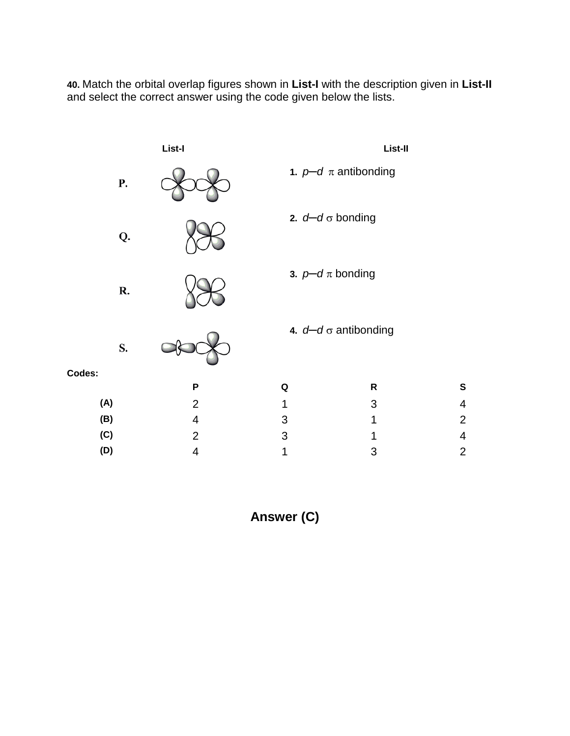**40.** Match the orbital overlap figures shown in **List-I** with the description given in **List-II** and select the correct answer using the code given below the lists.

|           | List-I                   |   | List-II                     |                          |
|-----------|--------------------------|---|-----------------------------|--------------------------|
| <b>P.</b> |                          |   | 1. $p-d \pi$ antibonding    |                          |
| Q.        |                          |   | 2. $d-d \sigma$ bonding     |                          |
| R.        |                          |   | 3. $p-d \pi$ bonding        |                          |
| S.        |                          |   | 4. $d-d \sigma$ antibonding |                          |
| Codes:    |                          |   |                             |                          |
|           | P                        | Q | R                           | S                        |
| (A)       | $\overline{2}$           | 1 | 3                           | $\overline{4}$           |
| (B)       | $\overline{\mathbf{4}}$  | 3 | $\mathbf 1$                 | $\overline{2}$           |
| (C)       | $\overline{2}$           | 3 | 1                           | $\overline{\mathcal{A}}$ |
| (D)       | $\overline{\mathcal{A}}$ | 1 | 3                           | $\overline{2}$           |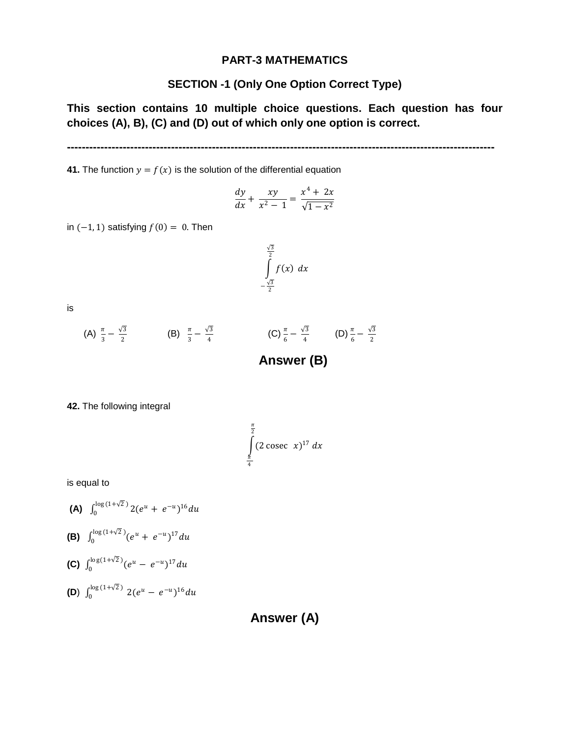#### **PART-3 MATHEMATICS**

### **SECTION -1 (Only One Option Correct Type)**

**This section contains 10 multiple choice questions. Each question has four choices (A), B), (C) and (D) out of which only one option is correct.**

**-------------------------------------------------------------------------------------------------------------------**

**41.** The function  $y = f(x)$  is the solution of the differential equation

$$
\frac{dy}{dx} + \frac{xy}{x^2 - 1} = \frac{x^4 + 2x}{\sqrt{1 - x^2}}
$$

in  $(-1, 1)$  satisfying  $f(0) = 0$ . Then

$$
\int_{-\frac{\sqrt{3}}{2}}^{\frac{\sqrt{3}}{2}} f(x) \, dx
$$

is

(A) 
$$
\frac{\pi}{3} - \frac{\sqrt{3}}{2}
$$
 (B)  $\frac{\pi}{3} - \frac{\sqrt{3}}{4}$  (C)  $\frac{\pi}{6} - \frac{\sqrt{3}}{4}$  (D)  $\frac{\pi}{6} - \frac{\sqrt{3}}{2}$ 

**Answer (B)**

**42.** The following integral

$$
\int_{\frac{\pi}{4}}^{\frac{\pi}{2}} (2 \csc x)^{17} dx
$$

is equal to

(A) 
$$
\int_0^{\log(1+\sqrt{2})} 2(e^u + e^{-u})^{16} du
$$

(B) 
$$
\int_0^{\log(1+\sqrt{2})} (e^u + e^{-u})^{17} du
$$

$$
(C) \int_0^{\log(1+\sqrt{2})} (e^u - e^{-u})^{17} du
$$

**(D)**  $\int_0^{\log(1+\sqrt{2})} 2(e^u - e^{-u})^{16} dx$ 

**Answer (A)**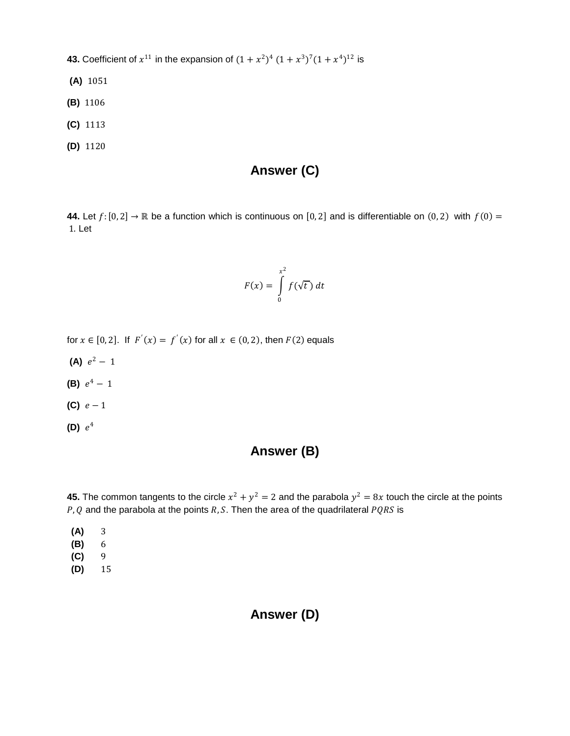**43.** Coefficient of  $x^{11}$  in the expansion of  $(1 + x^2)^4 (1 + x^3)^7 (1 + x^4)^{12}$  is

- **(A)** 1051
- **(B)** 1106
- **(C)** 1113
- **(D)** 1120

# **Answer (C)**

**44.** Let  $f: [0, 2] \rightarrow \mathbb{R}$  be a function which is continuous on [0, 2] and is differentiable on (0, 2) with  $f(0) =$ 1. Let

$$
F(x) = \int_{0}^{x^2} f(\sqrt{t}) dt
$$

for  $x \in [0,2]$ . If  $F(x) = f(x)$  for all  $x \in (0,2)$ , then  $F(2)$  equals

- **(A)**  $e^2 1$
- **(B)**  $e^4 1$
- **(C)**  $e-1$
- **(D)**  $e^4$

### **Answer (B)**

**45.** The common tangents to the circle  $x^2 + y^2 = 2$  and the parabola  $y^2 = 8x$  touch the circle at the points  $P$ , Q and the parabola at the points R, S. Then the area of the quadrilateral  $PQRS$  is

- **(A)** 3
- **(B)** 6
- **(C)** 9
- **(D)** 15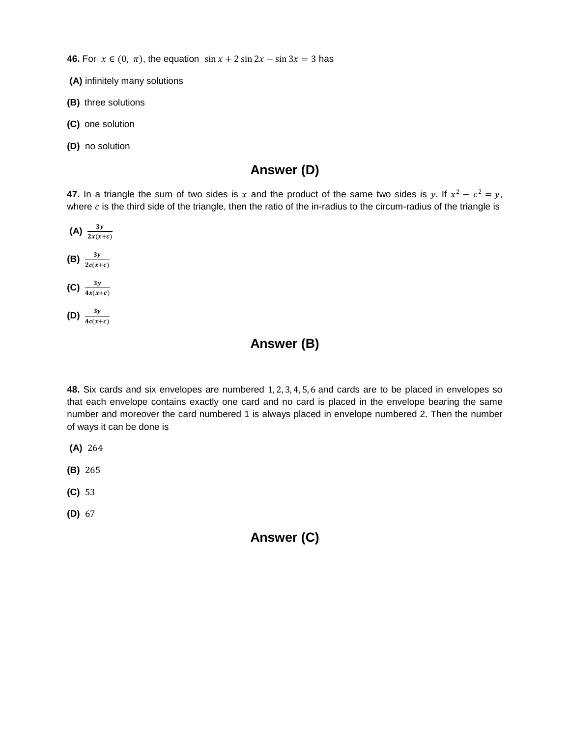**46.** For  $x \in (0, \pi)$ , the equation  $\sin x + 2 \sin 2x - \sin 3x = 3$  has

- **(A)** infinitely many solutions
- **(B)** three solutions
- **(C)** one solution
- **(D)** no solution

## **Answer (D)**

**47.** In a triangle the sum of two sides is x and the product of the same two sides is y. If  $x^2 - c^2 = y$ , where  $c$  is the third side of the triangle, then the ratio of the in-radius to the circum-radius of the triangle is

- **(A)**  $\frac{3y}{2x(x+c)}$ **(B)**  $\frac{3y}{2c(x+c)}$
- **(C)**  $\frac{3y}{4x(x+c)}$
- **(D)**  $\frac{3y}{4c(x+c)}$

## **Answer (B)**

**48.** Six cards and six envelopes are numbered 1, 2, 3, 4, 5, 6 and cards are to be placed in envelopes so that each envelope contains exactly one card and no card is placed in the envelope bearing the same number and moreover the card numbered 1 is always placed in envelope numbered 2. Then the number of ways it can be done is

- **(A)** 264
- **(B)** 265
- **(C)** 53
- **(D)** 67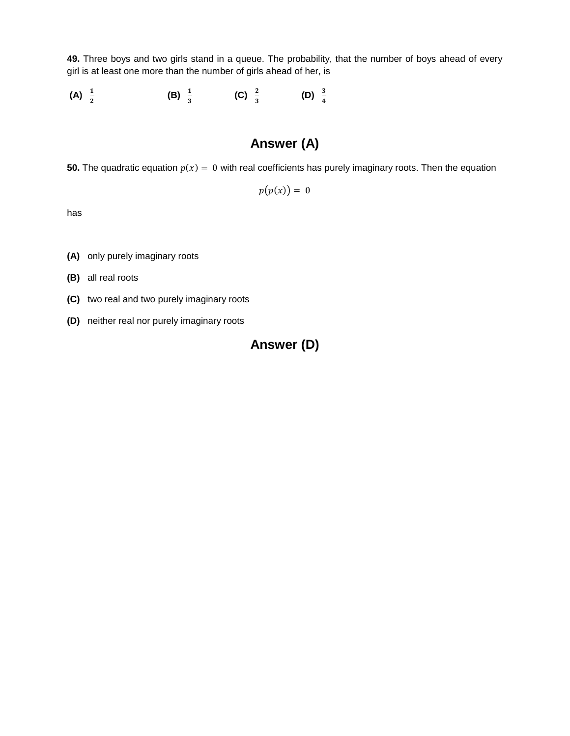**49.** Three boys and two girls stand in a queue. The probability, that the number of boys ahead of every girl is at least one more than the number of girls ahead of her, is

(A)  $\frac{1}{2}$ **(B)**  $\frac{1}{3}$  **(C)**  $\frac{2}{3}$  **(D)**  $\frac{3}{4}$ 

# **Answer (A)**

**50.** The quadratic equation  $p(x) = 0$  with real coefficients has purely imaginary roots. Then the equation

 $p(p(x)) = 0$ 

has

**(A)** only purely imaginary roots

**(B)** all real roots

- **(C)** two real and two purely imaginary roots
- **(D)** neither real nor purely imaginary roots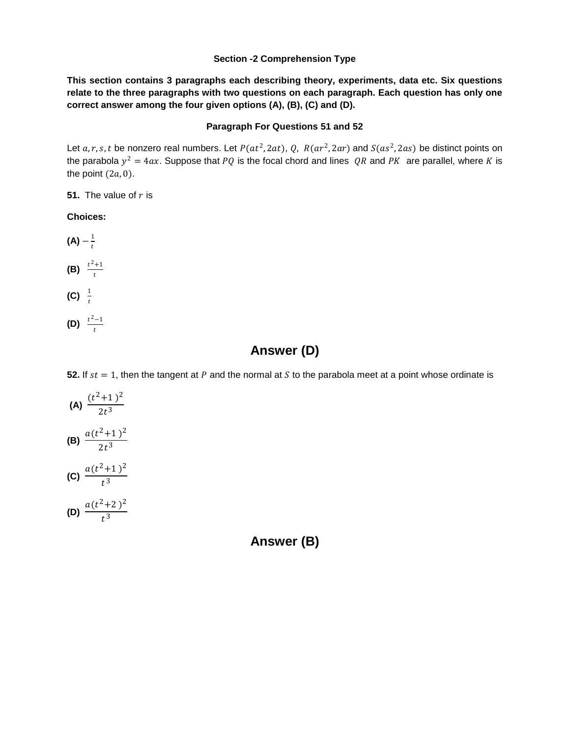#### **Section -2 Comprehension Type**

**This section contains 3 paragraphs each describing theory, experiments, data etc. Six questions relate to the three paragraphs with two questions on each paragraph. Each question has only one correct answer among the four given options (A), (B), (C) and (D).** 

#### **Paragraph For Questions 51 and 52**

Let a, r, s, t be nonzero real numbers. Let  $P(at^2, 2at)$ , Q,  $R(ar^2, 2ar)$  and  $S(as^2, 2as)$  be distinct points on the parabola  $y^2 = 4ax$ . Suppose that PQ is the focal chord and lines QR and PK are parallel, where K is the point  $(2a, 0)$ .

**51.** The value of  $r$  is

#### **Choices:**

- **(A)**  $-\frac{1}{t}$ **(B)**  $\frac{t^2+1}{t}$ **(C)**  $\frac{1}{t}$
- **(D)**  $\frac{t^2-1}{t}$

# **Answer (D)**

**52.** If  $st = 1$ , then the tangent at P and the normal at S to the parabola meet at a point whose ordinate is

(A) 
$$
\frac{(t^2+1)^2}{2t^3}
$$
  
\n(B) 
$$
\frac{a(t^2+1)^2}{2t^3}
$$
  
\n(C) 
$$
\frac{a(t^2+1)^2}{t^3}
$$
  
\n(D) 
$$
\frac{a(t^2+2)^2}{t^3}
$$

**Answer (B)**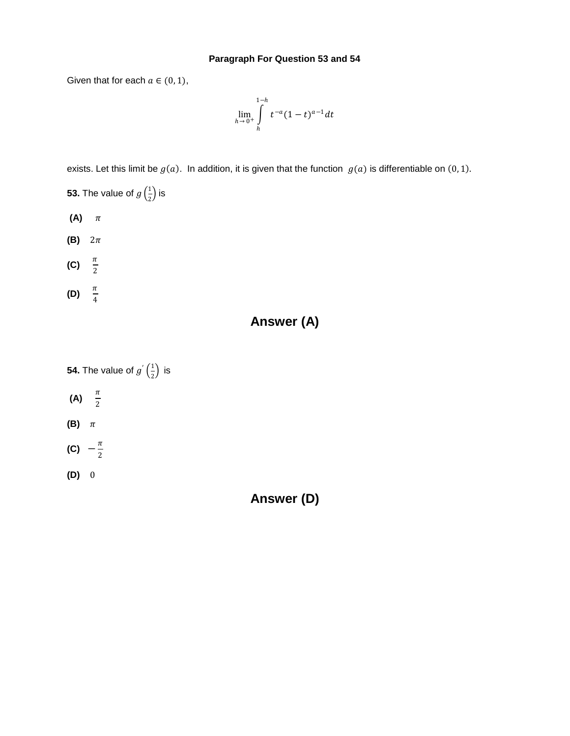#### **Paragraph For Question 53 and 54**

Given that for each  $a \in (0, 1)$ ,

$$
\lim_{h \to 0^+} \int_{h}^{1-h} t^{-a} (1-t)^{a-1} dt
$$

exists. Let this limit be  $g(a)$ . In addition, it is given that the function  $g(a)$  is differentiable on (0, 1).

- **53.** The value of  $g\left(\frac{1}{2}\right)$  $\frac{1}{2}$ ) is
- $(A)$   $\pi$
- $(B)$   $2\pi$
- **(C)**  $\frac{\pi}{2}$
- **(D)**  $\frac{\pi}{4}$

# **Answer (A)**

- **54.** The value of  $g'(\frac{1}{2})$  $\frac{1}{2}$ ) is
- **(A)**  $\frac{\pi}{2}$
- **(B)**  $\pi$
- **(C)**  $-\frac{\pi}{2}$
- **(D)** 0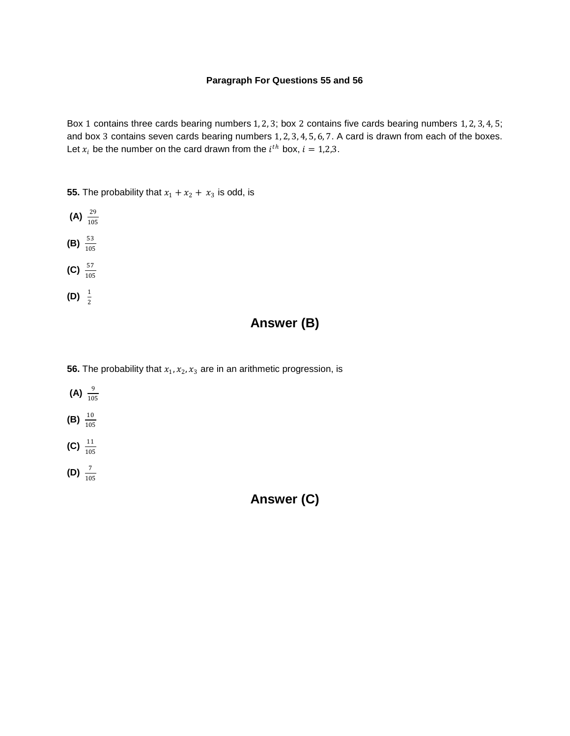#### **Paragraph For Questions 55 and 56**

Box 1 contains three cards bearing numbers 1, 2, 3; box 2 contains five cards bearing numbers 1, 2, 3, 4, 5; and box 3 contains seven cards bearing numbers 1, 2, 3, 4, 5, 6, 7. A card is drawn from each of the boxes. Let  $x_i$  be the number on the card drawn from the  $i^{th}$  box,  $i = 1,2,3$ .

**55.** The probability that  $x_1 + x_2 + x_3$  is odd, is



# **Answer (B)**

- **56.** The probability that  $x_1, x_2, x_3$  are in an arithmetic progression, is
- **(A)**  $\frac{9}{105}$ **(B)**  $\frac{10}{105}$ **(C)**  $\frac{11}{105}$ **(D)**  $\frac{7}{105}$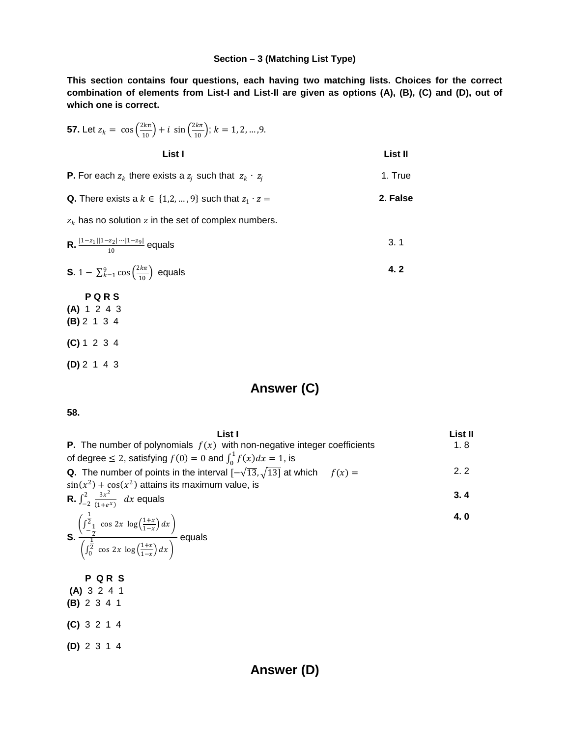#### **Section – 3 (Matching List Type)**

**This section contains four questions, each having two matching lists. Choices for the correct combination of elements from List-I and List-II are given as options (A), (B), (C) and (D), out of which one is correct.** 

\n- **57.** Let 
$$
z_k = \cos\left(\frac{2k\pi}{10}\right) + i \sin\left(\frac{2k\pi}{10}\right); k = 1, 2, ..., 9
$$
. **List I**
\n- **P.** For each  $z_k$  there exists a  $z_j$  such that  $z_k \cdot z_j$  1. True
\n- **Q.** There exists a  $k \in \{1, 2, ..., 9\}$  such that  $z_1 \cdot z = z_k$  has no solution  $z$  in the set of complex numbers.
\n- **R.**  $\frac{|1-z_1||1-z_2|\cdots|1-z_9|}{10}$  equals 3. 1
\n- **S.**  $1 - \sum_{k=1}^{9} \cos\left(\frac{2k\pi}{10}\right)$  equals 4. 2
\n- **PQR S**
\n- **(A)** 1 2 4 3
\n- **(B)** 2 1 3 4
\n- **(C)** 1 2 3 4
\n- **(D)** 2 1 4 3
\n

# **Answer (C)**

**58.** 

| List I                                                                                                                                                                                                  | List II |
|---------------------------------------------------------------------------------------------------------------------------------------------------------------------------------------------------------|---------|
| <b>P.</b> The number of polynomials $f(x)$ with non-negative integer coefficients                                                                                                                       | 1.8     |
| of degree $\leq 2$ , satisfying $f(0) = 0$ and $\int_0^1 f(x) dx = 1$ , is                                                                                                                              |         |
| <b>Q.</b> The number of points in the interval $[-\sqrt{13}, \sqrt{13}]$ at which $f(x) =$                                                                                                              | 2.2     |
| $sin(x^2) + cos(x^2)$ attains its maximum value, is                                                                                                                                                     |         |
| <b>R.</b> $\int_{-2}^{2} \frac{3x^2}{(1+e^x)} dx$ equals                                                                                                                                                | 3.4     |
| <b>S.</b> $\frac{\left(\int_{-\frac{1}{2}}^{\frac{1}{2}} \cos 2x \log \left(\frac{1+x}{1-x}\right) dx\right)}{\left(\int_{0}^{\frac{1}{2}} \cos 2x \log \left(\frac{1+x}{1-x}\right) dx\right)}$ equals | 4.0     |
| <b>PQRS</b>                                                                                                                                                                                             |         |
| (A) 3 2 4 1                                                                                                                                                                                             |         |
| (B) 2 3 4 1                                                                                                                                                                                             |         |
| (C) 3 2 1 4                                                                                                                                                                                             |         |
| (D) 2 3 1 4                                                                                                                                                                                             |         |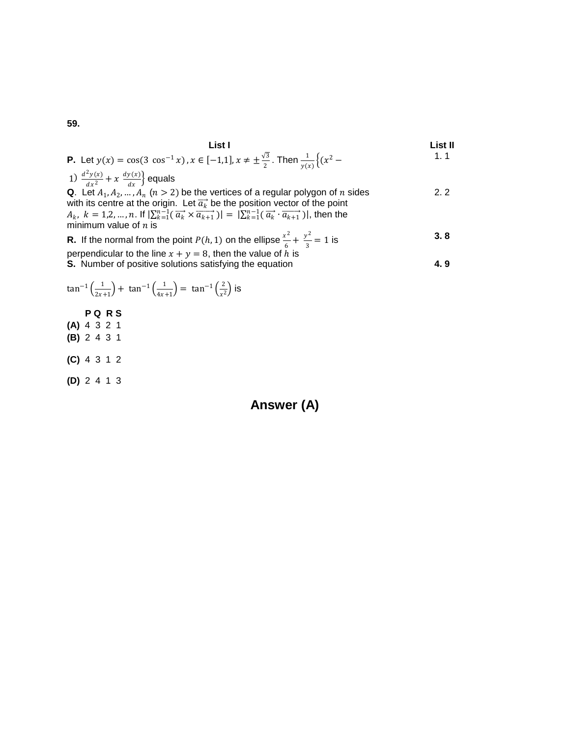59.

**1.1 1.2 1.3 1.4 1.5 1.5 1.6 1.7 1.8 1.9 1.1 1.1** 
$$
\frac{d^2y(x)}{dx^2} + x \frac{dy(x)}{dx}
$$
 equals\n**2.2 2.3 3.8 4.9 4.1 5.1 6.1 6.1 7.1 8.1 9.1 1.1 1.1 1.1 1.1 1.1 2.2 2.2 3.3 4.4 5.4 6.4 6.4 7.4 8.4 9.4 1.4 1.4 1.4 2.5 2.6 2.7 3.8 4.9 4.9 5.1 6.1 6.1 7.1 8.1 8.1 9.1 1.1 1.1 1.1 2.2 2.3 3.3 3.4 4.4 4.5 5.4 6.4 7.1 8.1 8.1 9.1 1.1 1.1 1.1 1.1 1.1 1.1 1.1 1.1 1.1 1.1 1.1 1.1 1**

$$
\tan^{-1}\left(\frac{1}{2x+1}\right) + \tan^{-1}\left(\frac{1}{4x+1}\right) = \tan^{-1}\left(\frac{2}{x^2}\right)
$$
 is  
\nP Q R S  
\n(A) 4 3 2 1  
\n(B) 2 4 3 1  
\n(C) 4 3 1 2  
\n(D) 2 4 1 3

Answer (A)